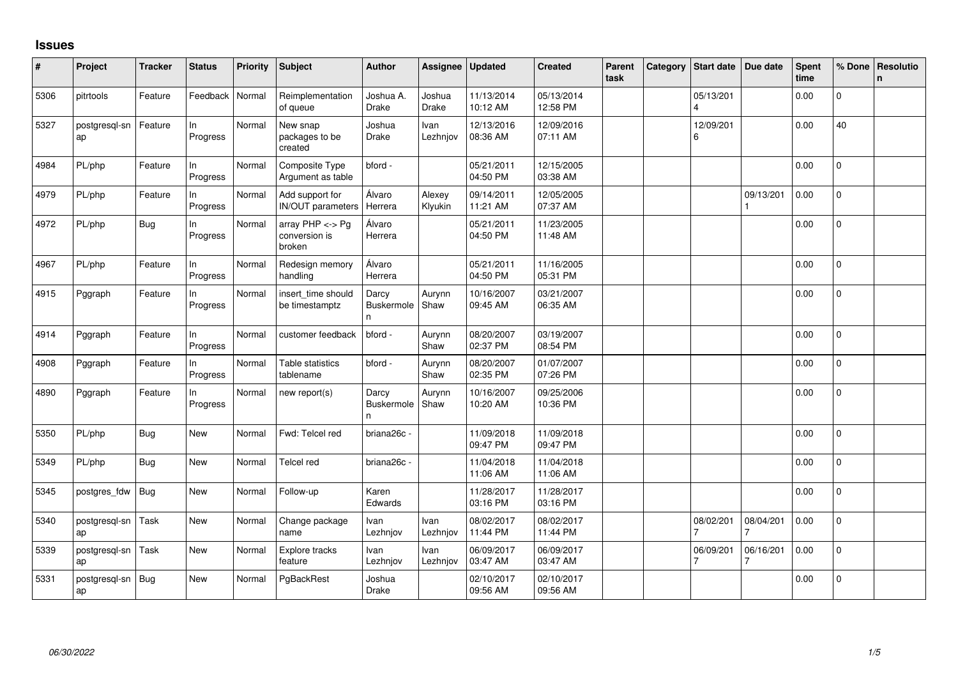## **Issues**

| $\vert$ # | Project             | <b>Tracker</b> | <b>Status</b>  | <b>Priority</b> | <b>Subject</b>                              | <b>Author</b>                   | Assignee               | <b>Updated</b>         | <b>Created</b>         | Parent<br>task | Category | <b>Start date</b> | Due date       | Spent<br>time | % Done         | Resolutio<br>n. |
|-----------|---------------------|----------------|----------------|-----------------|---------------------------------------------|---------------------------------|------------------------|------------------------|------------------------|----------------|----------|-------------------|----------------|---------------|----------------|-----------------|
| 5306      | pitrtools           | Feature        | Feedback       | Normal          | Reimplementation<br>of queue                | Joshua A.<br><b>Drake</b>       | Joshua<br><b>Drake</b> | 11/13/2014<br>10:12 AM | 05/13/2014<br>12:58 PM |                |          | 05/13/201         |                | 0.00          | 0              |                 |
| 5327      | postgresql-sn<br>ap | Feature        | In<br>Progress | Normal          | New snap<br>packages to be<br>created       | Joshua<br><b>Drake</b>          | Ivan<br>Lezhnjov       | 12/13/2016<br>08:36 AM | 12/09/2016<br>07:11 AM |                |          | 12/09/201<br>6    |                | 0.00          | 40             |                 |
| 4984      | PL/php              | Feature        | In<br>Progress | Normal          | Composite Type<br>Argument as table         | bford -                         |                        | 05/21/2011<br>04:50 PM | 12/15/2005<br>03:38 AM |                |          |                   |                | 0.00          | 0              |                 |
| 4979      | PL/php              | Feature        | In<br>Progress | Normal          | Add support for<br><b>IN/OUT</b> parameters | Álvaro<br>Herrera               | Alexey<br>Klyukin      | 09/14/2011<br>11:21 AM | 12/05/2005<br>07:37 AM |                |          |                   | 09/13/201      | 0.00          | 0              |                 |
| 4972      | PL/php              | Bug            | In<br>Progress | Normal          | array PHP <-> Pg<br>conversion is<br>broken | Álvaro<br>Herrera               |                        | 05/21/2011<br>04:50 PM | 11/23/2005<br>11:48 AM |                |          |                   |                | 0.00          | 0              |                 |
| 4967      | PL/php              | Feature        | In<br>Progress | Normal          | Redesign memory<br>handling                 | Álvaro<br>Herrera               |                        | 05/21/2011<br>04:50 PM | 11/16/2005<br>05:31 PM |                |          |                   |                | 0.00          | 0              |                 |
| 4915      | Pggraph             | Feature        | In<br>Progress | Normal          | insert_time should<br>be timestamptz        | Darcy<br><b>Buskermole</b><br>n | Aurynn<br>Shaw         | 10/16/2007<br>09:45 AM | 03/21/2007<br>06:35 AM |                |          |                   |                | 0.00          | $\pmb{0}$      |                 |
| 4914      | Pggraph             | Feature        | In<br>Progress | Normal          | customer feedback                           | bford -                         | Aurynn<br>Shaw         | 08/20/2007<br>02:37 PM | 03/19/2007<br>08:54 PM |                |          |                   |                | 0.00          | $\Omega$       |                 |
| 4908      | Pggraph             | Feature        | In<br>Progress | Normal          | Table statistics<br>tablename               | bford -                         | Aurynn<br>Shaw         | 08/20/2007<br>02:35 PM | 01/07/2007<br>07:26 PM |                |          |                   |                | 0.00          | $\overline{0}$ |                 |
| 4890      | Pggraph             | Feature        | In<br>Progress | Normal          | new report(s)                               | Darcy<br>Buskermole<br>n.       | Aurynn<br>Shaw         | 10/16/2007<br>10:20 AM | 09/25/2006<br>10:36 PM |                |          |                   |                | 0.00          | 0              |                 |
| 5350      | PL/php              | Bug            | <b>New</b>     | Normal          | Fwd: Telcel red                             | briana26c -                     |                        | 11/09/2018<br>09:47 PM | 11/09/2018<br>09:47 PM |                |          |                   |                | 0.00          | $\Omega$       |                 |
| 5349      | PL/php              | Bug            | New            | Normal          | Telcel red                                  | briana26c -                     |                        | 11/04/2018<br>11:06 AM | 11/04/2018<br>11:06 AM |                |          |                   |                | 0.00          | $\mathbf 0$    |                 |
| 5345      | postgres_fdw        | Bug            | New            | Normal          | Follow-up                                   | Karen<br>Edwards                |                        | 11/28/2017<br>03:16 PM | 11/28/2017<br>03:16 PM |                |          |                   |                | 0.00          | $\mathbf 0$    |                 |
| 5340      | postgresql-sn<br>ap | Task           | New            | Normal          | Change package<br>name                      | Ivan<br>Lezhnjov                | Ivan<br>Lezhnjov       | 08/02/2017<br>11:44 PM | 08/02/2017<br>11:44 PM |                |          | 08/02/201         | 08/04/201      | 0.00          | $\mathbf{0}$   |                 |
| 5339      | postgresql-sn<br>ap | Task           | New            | Normal          | Explore tracks<br>feature                   | Ivan<br>Lezhnjov                | Ivan<br>Lezhnjov       | 06/09/2017<br>03:47 AM | 06/09/2017<br>03:47 AM |                |          | 06/09/201         | 06/16/201<br>7 | 0.00          | $\mathbf{0}$   |                 |
| 5331      | postgresgl-sn<br>ap | Bug            | <b>New</b>     | Normal          | PgBackRest                                  | Joshua<br>Drake                 |                        | 02/10/2017<br>09:56 AM | 02/10/2017<br>09:56 AM |                |          |                   |                | 0.00          | 0              |                 |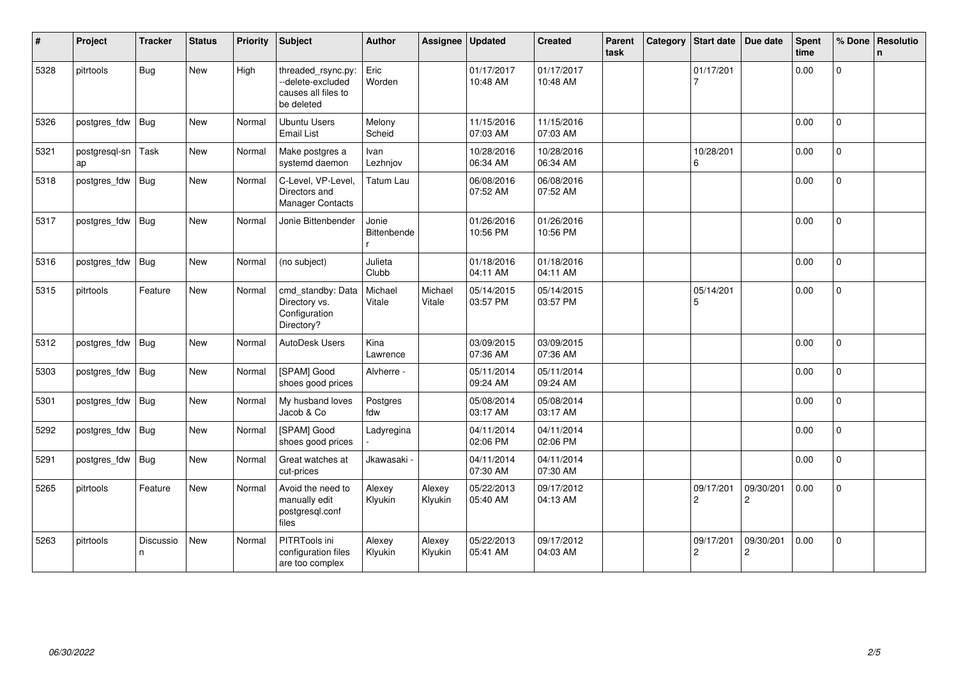| $\#$ | Project             | <b>Tracker</b> | <b>Status</b> | <b>Priority</b> | <b>Subject</b>                                                               | <b>Author</b>          | Assignee          | Updated                | <b>Created</b>         | Parent<br>task | Category | Start date                  | Due date                    | Spent<br>time | % Done         | Resolutio<br>n. |
|------|---------------------|----------------|---------------|-----------------|------------------------------------------------------------------------------|------------------------|-------------------|------------------------|------------------------|----------------|----------|-----------------------------|-----------------------------|---------------|----------------|-----------------|
| 5328 | pitrtools           | <b>Bug</b>     | New           | High            | threaded_rsync.py:<br>--delete-excluded<br>causes all files to<br>be deleted | Eric<br>Worden         |                   | 01/17/2017<br>10:48 AM | 01/17/2017<br>10:48 AM |                |          | 01/17/201                   |                             | 0.00          | $\Omega$       |                 |
| 5326 | postgres_fdw        | Bug            | New           | Normal          | Ubuntu Users<br><b>Email List</b>                                            | Melony<br>Scheid       |                   | 11/15/2016<br>07:03 AM | 11/15/2016<br>07:03 AM |                |          |                             |                             | 0.00          | 0              |                 |
| 5321 | postgresgl-sn<br>ap | Task           | New           | Normal          | Make postgres a<br>systemd daemon                                            | Ivan<br>Lezhnjov       |                   | 10/28/2016<br>06:34 AM | 10/28/2016<br>06:34 AM |                |          | 10/28/201<br>6              |                             | 0.00          | $\mathbf 0$    |                 |
| 5318 | postgres_fdw        | Bug            | New           | Normal          | C-Level, VP-Level,<br>Directors and<br><b>Manager Contacts</b>               | Tatum Lau              |                   | 06/08/2016<br>07:52 AM | 06/08/2016<br>07:52 AM |                |          |                             |                             | 0.00          | $\mathbf 0$    |                 |
| 5317 | postgres_fdw        | Bug            | <b>New</b>    | Normal          | Jonie Bittenbender                                                           | Jonie<br>Bittenbende   |                   | 01/26/2016<br>10:56 PM | 01/26/2016<br>10:56 PM |                |          |                             |                             | 0.00          | $\Omega$       |                 |
| 5316 | postgres_fdw        | Bug            | New           | Normal          | (no subject)                                                                 | Julieta<br>Clubb       |                   | 01/18/2016<br>04:11 AM | 01/18/2016<br>04:11 AM |                |          |                             |                             | 0.00          | $\mathbf 0$    |                 |
| 5315 | pitrtools           | Feature        | New           | Normal          | cmd_standby: Data<br>Directory vs.<br>Configuration<br>Directory?            | Michael<br>Vitale      | Michael<br>Vitale | 05/14/2015<br>03:57 PM | 05/14/2015<br>03:57 PM |                |          | 05/14/201<br>5              |                             | 0.00          | 0              |                 |
| 5312 | postgres_fdw        | Bug            | <b>New</b>    | Normal          | <b>AutoDesk Users</b>                                                        | Kina<br>Lawrence       |                   | 03/09/2015<br>07:36 AM | 03/09/2015<br>07:36 AM |                |          |                             |                             | 0.00          | $\overline{0}$ |                 |
| 5303 | postgres_fdw        | Bug            | <b>New</b>    | Normal          | [SPAM] Good<br>shoes good prices                                             | Alvherre -             |                   | 05/11/2014<br>09:24 AM | 05/11/2014<br>09:24 AM |                |          |                             |                             | 0.00          | $\Omega$       |                 |
| 5301 | postgres_fdw        | Bug            | New           | Normal          | My husband loves<br>Jacob & Co                                               | Postgres<br>fdw        |                   | 05/08/2014<br>03:17 AM | 05/08/2014<br>03:17 AM |                |          |                             |                             | 0.00          | $\Omega$       |                 |
| 5292 | postgres fdw        | Bug            | New           | Normal          | [SPAM] Good<br>shoes good prices                                             | Ladyregina             |                   | 04/11/2014<br>02:06 PM | 04/11/2014<br>02:06 PM |                |          |                             |                             | 0.00          | 0              |                 |
| 5291 | postgres_fdw        | Bug            | New           | Normal          | Great watches at<br>cut-prices                                               | Jkawasaki <sub>`</sub> |                   | 04/11/2014<br>07:30 AM | 04/11/2014<br>07:30 AM |                |          |                             |                             | 0.00          | $\Omega$       |                 |
| 5265 | pitrtools           | Feature        | New           | Normal          | Avoid the need to<br>manually edit<br>postgresgl.conf<br>files               | Alexey<br>Klyukin      | Alexey<br>Klyukin | 05/22/2013<br>05:40 AM | 09/17/2012<br>04:13 AM |                |          | 09/17/201<br>$\overline{c}$ | 09/30/201<br>$\overline{c}$ | 0.00          | $\Omega$       |                 |
| 5263 | pitrtools           | Discussio<br>n | New           | Normal          | PITRTools ini<br>configuration files<br>are too complex                      | Alexey<br>Klyukin      | Alexey<br>Klyukin | 05/22/2013<br>05:41 AM | 09/17/2012<br>04:03 AM |                |          | 09/17/201<br>$\overline{c}$ | 09/30/201<br>2              | 0.00          | $\mathbf 0$    |                 |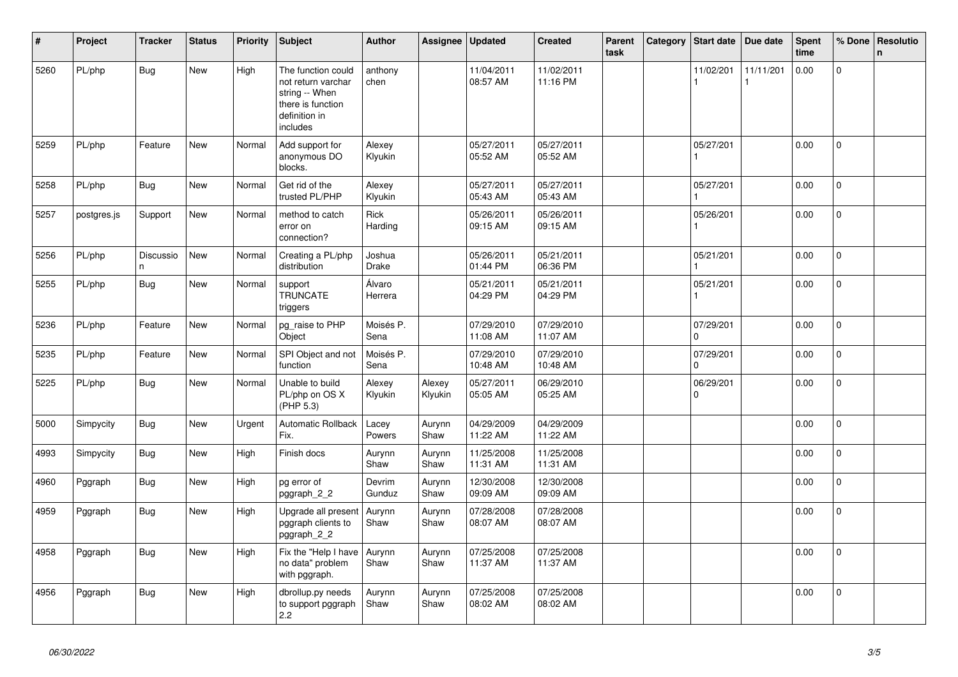| #    | Project     | <b>Tracker</b>        | <b>Status</b> | <b>Priority</b> | <b>Subject</b>                                                                                               | <b>Author</b>     | Assignee          | <b>Updated</b>         | <b>Created</b>         | Parent<br>task | Category | Start date               | Due date  | <b>Spent</b><br>time | % Done         | Resolutio<br>$\mathbf n$ |
|------|-------------|-----------------------|---------------|-----------------|--------------------------------------------------------------------------------------------------------------|-------------------|-------------------|------------------------|------------------------|----------------|----------|--------------------------|-----------|----------------------|----------------|--------------------------|
| 5260 | PL/php      | <b>Bug</b>            | <b>New</b>    | High            | The function could<br>not return varchar<br>string -- When<br>there is function<br>definition in<br>includes | anthony<br>chen   |                   | 11/04/2011<br>08:57 AM | 11/02/2011<br>11:16 PM |                |          | 11/02/201                | 11/11/201 | 0.00                 | $\Omega$       |                          |
| 5259 | PL/php      | Feature               | <b>New</b>    | Normal          | Add support for<br>anonymous DO<br>blocks.                                                                   | Alexey<br>Klyukin |                   | 05/27/2011<br>05:52 AM | 05/27/2011<br>05:52 AM |                |          | 05/27/201                |           | 0.00                 | $\mathsf{O}$   |                          |
| 5258 | PL/php      | Bug                   | <b>New</b>    | Normal          | Get rid of the<br>trusted PL/PHP                                                                             | Alexey<br>Klyukin |                   | 05/27/2011<br>05:43 AM | 05/27/2011<br>05:43 AM |                |          | 05/27/201                |           | 0.00                 | $\mathsf{O}$   |                          |
| 5257 | postgres.js | Support               | <b>New</b>    | Normal          | method to catch<br>error on<br>connection?                                                                   | Rick<br>Harding   |                   | 05/26/2011<br>09:15 AM | 05/26/2011<br>09:15 AM |                |          | 05/26/201                |           | 0.00                 | $\Omega$       |                          |
| 5256 | PL/php      | <b>Discussio</b><br>n | <b>New</b>    | Normal          | Creating a PL/php<br>distribution                                                                            | Joshua<br>Drake   |                   | 05/26/2011<br>01:44 PM | 05/21/2011<br>06:36 PM |                |          | 05/21/201                |           | 0.00                 | $\mathbf{0}$   |                          |
| 5255 | PL/php      | Bug                   | <b>New</b>    | Normal          | support<br><b>TRUNCATE</b><br>triggers                                                                       | Álvaro<br>Herrera |                   | 05/21/2011<br>04:29 PM | 05/21/2011<br>04:29 PM |                |          | 05/21/201                |           | 0.00                 | 0              |                          |
| 5236 | PL/php      | Feature               | <b>New</b>    | Normal          | pg_raise to PHP<br>Object                                                                                    | Moisés P.<br>Sena |                   | 07/29/2010<br>11:08 AM | 07/29/2010<br>11:07 AM |                |          | 07/29/201<br>$\Omega$    |           | 0.00                 | $\overline{0}$ |                          |
| 5235 | PL/php      | Feature               | <b>New</b>    | Normal          | SPI Object and not<br>function                                                                               | Moisés P.<br>Sena |                   | 07/29/2010<br>10:48 AM | 07/29/2010<br>10:48 AM |                |          | 07/29/201<br>$\mathbf 0$ |           | 0.00                 | $\Omega$       |                          |
| 5225 | PL/php      | Bug                   | <b>New</b>    | Normal          | Unable to build<br>PL/php on OS X<br>(PHP 5.3)                                                               | Alexey<br>Klyukin | Alexey<br>Klyukin | 05/27/2011<br>05:05 AM | 06/29/2010<br>05:25 AM |                |          | 06/29/201<br>$\mathbf 0$ |           | 0.00                 | 0              |                          |
| 5000 | Simpycity   | <b>Bug</b>            | <b>New</b>    | Urgent          | <b>Automatic Rollback</b><br>Fix.                                                                            | Lacey<br>Powers   | Aurynn<br>Shaw    | 04/29/2009<br>11:22 AM | 04/29/2009<br>11:22 AM |                |          |                          |           | 0.00                 | $\mathbf 0$    |                          |
| 4993 | Simpycity   | Bug                   | <b>New</b>    | High            | Finish docs                                                                                                  | Aurynn<br>Shaw    | Aurynn<br>Shaw    | 11/25/2008<br>11:31 AM | 11/25/2008<br>11:31 AM |                |          |                          |           | 0.00                 | $\Omega$       |                          |
| 4960 | Pggraph     | Bug                   | <b>New</b>    | High            | pg error of<br>pggraph_2_2                                                                                   | Devrim<br>Gunduz  | Aurynn<br>Shaw    | 12/30/2008<br>09:09 AM | 12/30/2008<br>09:09 AM |                |          |                          |           | 0.00                 | $\mathsf{O}$   |                          |
| 4959 | Pggraph     | <b>Bug</b>            | New           | High            | Upgrade all present<br>pggraph clients to<br>pggraph_2_2                                                     | Aurynn<br>Shaw    | Aurynn<br>Shaw    | 07/28/2008<br>08:07 AM | 07/28/2008<br>08:07 AM |                |          |                          |           | 0.00                 | $\mathbf 0$    |                          |
| 4958 | Pggraph     | <b>Bug</b>            | New           | High            | Fix the "Help I have<br>no data" problem<br>with pggraph.                                                    | Aurynn<br>Shaw    | Aurynn<br>Shaw    | 07/25/2008<br>11:37 AM | 07/25/2008<br>11:37 AM |                |          |                          |           | 0.00                 | $\Omega$       |                          |
| 4956 | Pggraph     | Bug                   | <b>New</b>    | High            | dbrollup.py needs<br>to support pggraph<br>2.2                                                               | Aurynn<br>Shaw    | Aurynn<br>Shaw    | 07/25/2008<br>08:02 AM | 07/25/2008<br>08:02 AM |                |          |                          |           | 0.00                 | $\mathsf{O}$   |                          |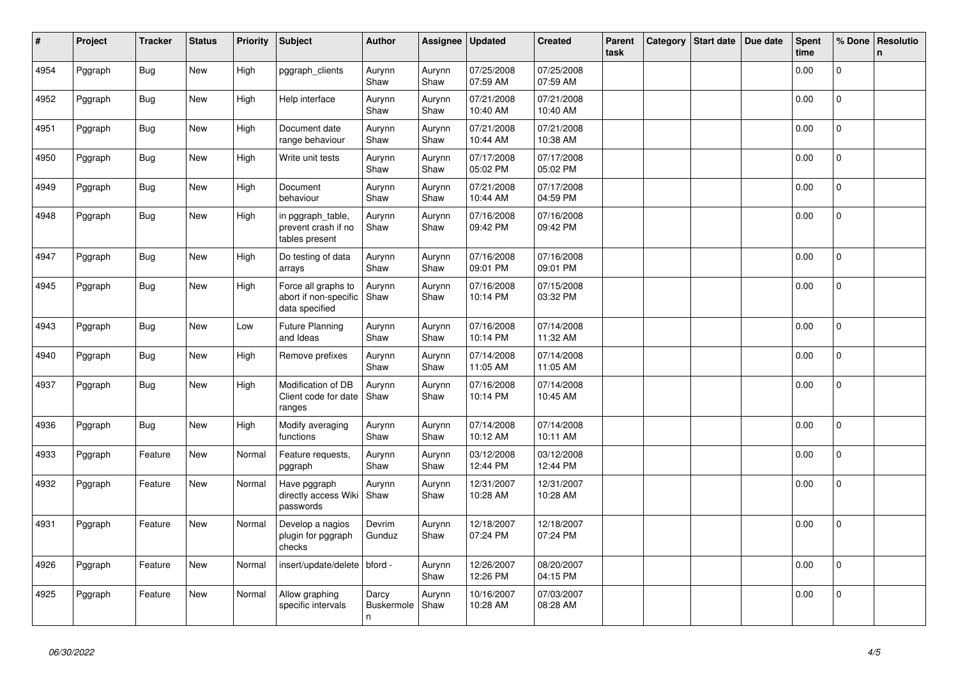| $\vert$ # | Project | <b>Tracker</b> | <b>Status</b> | <b>Priority</b> | <b>Subject</b>                                                 | <b>Author</b>                   | Assignee       | <b>Updated</b>         | <b>Created</b>         | Parent<br>task | Category | <b>Start date</b> | Due date | <b>Spent</b><br>time | % Done         | Resolutio<br>$\mathsf{n}$ |
|-----------|---------|----------------|---------------|-----------------|----------------------------------------------------------------|---------------------------------|----------------|------------------------|------------------------|----------------|----------|-------------------|----------|----------------------|----------------|---------------------------|
| 4954      | Pggraph | <b>Bug</b>     | New           | High            | pggraph_clients                                                | Aurynn<br>Shaw                  | Aurynn<br>Shaw | 07/25/2008<br>07:59 AM | 07/25/2008<br>07:59 AM |                |          |                   |          | 0.00                 | $\Omega$       |                           |
| 4952      | Pggraph | Bug            | <b>New</b>    | High            | Help interface                                                 | Aurynn<br>Shaw                  | Aurynn<br>Shaw | 07/21/2008<br>10:40 AM | 07/21/2008<br>10:40 AM |                |          |                   |          | 0.00                 | $\mathsf{O}$   |                           |
| 4951      | Pggraph | <b>Bug</b>     | New           | High            | Document date<br>range behaviour                               | Aurynn<br>Shaw                  | Aurynn<br>Shaw | 07/21/2008<br>10:44 AM | 07/21/2008<br>10:38 AM |                |          |                   |          | 0.00                 | $\mathbf 0$    |                           |
| 4950      | Pggraph | <b>Bug</b>     | <b>New</b>    | High            | Write unit tests                                               | Aurynn<br>Shaw                  | Aurynn<br>Shaw | 07/17/2008<br>05:02 PM | 07/17/2008<br>05:02 PM |                |          |                   |          | 0.00                 | $\mathbf{0}$   |                           |
| 4949      | Pggraph | <b>Bug</b>     | <b>New</b>    | High            | Document<br>behaviour                                          | Aurynn<br>Shaw                  | Aurynn<br>Shaw | 07/21/2008<br>10:44 AM | 07/17/2008<br>04:59 PM |                |          |                   |          | 0.00                 | $\mathbf 0$    |                           |
| 4948      | Pggraph | Bug            | New           | High            | in pggraph_table,<br>prevent crash if no<br>tables present     | Aurynn<br>Shaw                  | Aurynn<br>Shaw | 07/16/2008<br>09:42 PM | 07/16/2008<br>09:42 PM |                |          |                   |          | 0.00                 | $\Omega$       |                           |
| 4947      | Pggraph | Bug            | New           | High            | Do testing of data<br>arrays                                   | Aurynn<br>Shaw                  | Aurynn<br>Shaw | 07/16/2008<br>09:01 PM | 07/16/2008<br>09:01 PM |                |          |                   |          | 0.00                 | 0              |                           |
| 4945      | Pggraph | <b>Bug</b>     | <b>New</b>    | High            | Force all graphs to<br>abort if non-specific<br>data specified | Aurynn<br>Shaw                  | Aurynn<br>Shaw | 07/16/2008<br>10:14 PM | 07/15/2008<br>03:32 PM |                |          |                   |          | 0.00                 | 0              |                           |
| 4943      | Pggraph | Bug            | New           | Low             | <b>Future Planning</b><br>and Ideas                            | Aurynn<br>Shaw                  | Aurynn<br>Shaw | 07/16/2008<br>10:14 PM | 07/14/2008<br>11:32 AM |                |          |                   |          | 0.00                 | 0              |                           |
| 4940      | Pggraph | <b>Bug</b>     | <b>New</b>    | High            | Remove prefixes                                                | Aurynn<br>Shaw                  | Aurynn<br>Shaw | 07/14/2008<br>11:05 AM | 07/14/2008<br>11:05 AM |                |          |                   |          | 0.00                 | $\Omega$       |                           |
| 4937      | Pggraph | Bug            | New           | High            | Modification of DB<br>Client code for date<br>ranges           | Aurynn<br>Shaw                  | Aurynn<br>Shaw | 07/16/2008<br>10:14 PM | 07/14/2008<br>10:45 AM |                |          |                   |          | 0.00                 | 0              |                           |
| 4936      | Pggraph | Bug            | New           | High            | Modify averaging<br>functions                                  | Aurynn<br>Shaw                  | Aurynn<br>Shaw | 07/14/2008<br>10:12 AM | 07/14/2008<br>10:11 AM |                |          |                   |          | 0.00                 | $\mathbf 0$    |                           |
| 4933      | Pggraph | Feature        | New           | Normal          | Feature requests,<br>pggraph                                   | Aurynn<br>Shaw                  | Aurynn<br>Shaw | 03/12/2008<br>12:44 PM | 03/12/2008<br>12:44 PM |                |          |                   |          | 0.00                 | $\overline{0}$ |                           |
| 4932      | Pggraph | Feature        | <b>New</b>    | Normal          | Have pggraph<br>directly access Wiki<br>passwords              | Aurynn<br>Shaw                  | Aurynn<br>Shaw | 12/31/2007<br>10:28 AM | 12/31/2007<br>10:28 AM |                |          |                   |          | 0.00                 | 0              |                           |
| 4931      | Pggraph | Feature        | New           | Normal          | Develop a nagios<br>plugin for pggraph<br>checks               | Devrim<br>Gunduz                | Aurynn<br>Shaw | 12/18/2007<br>07:24 PM | 12/18/2007<br>07:24 PM |                |          |                   |          | 0.00                 | $\Omega$       |                           |
| 4926      | Pggraph | Feature        | New           | Normal          | insert/update/delete   bford -                                 |                                 | Aurynn<br>Shaw | 12/26/2007<br>12:26 PM | 08/20/2007<br>04:15 PM |                |          |                   |          | 0.00                 | $\overline{0}$ |                           |
| 4925      | Pggraph | Feature        | New           | Normal          | Allow graphing<br>specific intervals                           | Darcy<br><b>Buskermole</b><br>n | Aurynn<br>Shaw | 10/16/2007<br>10:28 AM | 07/03/2007<br>08:28 AM |                |          |                   |          | 0.00                 | $\overline{0}$ |                           |